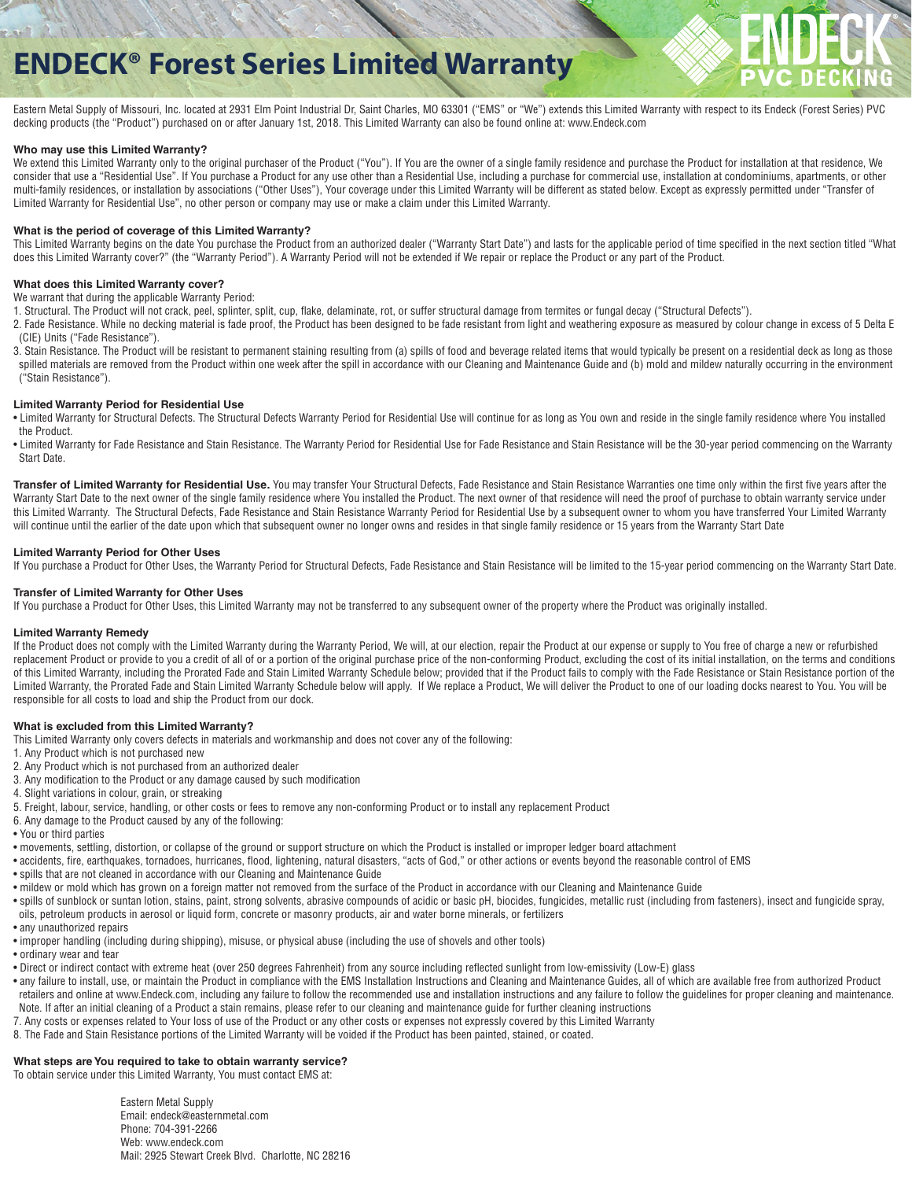# **ENDECK® Forest Series Limited Warranty**



Eastern Metal Supply of Missouri, Inc. located at 2931 Elm Point Industrial Dr, Saint Charles, MO 63301 ("EMS" or "We") extends this Limited Warranty with respect to its Endeck (Forest Series) PVC decking products (the "Product") purchased on or after January 1st, 2018. This Limited Warranty can also be found online at: www.Endeck.com

#### **Who may use this Limited Warranty?**

We extend this Limited Warranty only to the original purchaser of the Product ("You"). If You are the owner of a single family residence and purchase the Product for installation at that residence, We consider that use a "Residential Use". If You purchase a Product for any use other than a Residential Use, including a purchase for commercial use, installation at condominiums, apartments, or other multi-family residences, or installation by associations ("Other Uses"), Your coverage under this Limited Warranty will be different as stated below. Except as expressly permitted under "Transfer of Limited Warranty for Residential Use", no other person or company may use or make a claim under this Limited Warranty.

#### **What is the period of coverage of this Limited Warranty?**

This Limited Warranty begins on the date You purchase the Product from an authorized dealer ("Warranty Start Date") and lasts for the applicable period of time specified in the next section titled "What does this Limited Warranty cover?" (the "Warranty Period"). A Warranty Period will not be extended if We repair or replace the Product or any part of the Product.

### **What does this Limited Warranty cover?**

We warrant that during the applicable Warranty Period:

1. Structural. The Product will not crack, peel, splinter, split, cup, flake, delaminate, rot, or suffer structural damage from termites or fungal decay ("Structural Defects").

2. Fade Resistance. While no decking material is fade proof, the Product has been designed to be fade resistant from light and weathering exposure as measured by colour change in excess of 5 Delta E (CIE) Units ("Fade Resistance").

3. Stain Resistance. The Product will be resistant to permanent staining resulting from (a) spills of food and beverage related items that would typically be present on a residential deck as long as those spilled materials are removed from the Product within one week after the spill in accordance with our Cleaning and Maintenance Guide and (b) mold and mildew naturally occurring in the environment ("Stain Resistance").

#### **Limited Warranty Period for Residential Use**

• Limited Warranty for Structural Defects. The Structural Defects Warranty Period for Residential Use will continue for as long as You own and reside in the single family residence where You installed the Product.

• Limited Warranty for Fade Resistance and Stain Resistance. The Warranty Period for Residential Use for Fade Resistance and Stain Resistance will be the 30-year period commencing on the Warranty Start Date.

Transfer of Limited Warranty for Residential Use. You may transfer Your Structural Defects, Fade Resistance and Stain Resistance Warranties one time only within the first five years after the Warranty Start Date to the next owner of the single family residence where You installed the Product. The next owner of that residence will need the proof of purchase to obtain warranty service under this Limited Warranty. The Structural Defects, Fade Resistance and Stain Resistance Warranty Period for Residential Use by a subsequent owner to whom you have transferred Your Limited Warranty will continue until the earlier of the date upon which that subsequent owner no longer owns and resides in that single family residence or 15 years from the Warranty Start Date

#### **Limited Warranty Period for Other Uses**

If You purchase a Product for Other Uses, the Warranty Period for Structural Defects, Fade Resistance and Stain Resistance will be limited to the 15-year period commencing on the Warranty Start Date.

#### **Transfer of Limited Warranty for Other Uses**

If You purchase a Product for Other Uses, this Limited Warranty may not be transferred to any subsequent owner of the property where the Product was originally installed.

#### **Limited Warranty Remedy**

If the Product does not comply with the Limited Warranty during the Warranty Period, We will, at our election, repair the Product at our expense or supply to You free of charge a new or refurbished replacement Product or provide to you a credit of all of or a portion of the original purchase price of the non-conforming Product, excluding the cost of its initial installation, on the terms and conditions of this Limited Warranty, including the Prorated Fade and Stain Limited Warranty Schedule below; provided that if the Product fails to comply with the Fade Resistance or Stain Resistance portion of the Limited Warranty, the Prorated Fade and Stain Limited Warranty Schedule below will apply. If We replace a Product, We will deliver the Product to one of our loading docks nearest to You. You will be responsible for all costs to load and ship the Product from our dock.

#### **What is excluded from this Limited Warranty?**

This Limited Warranty only covers defects in materials and workmanship and does not cover any of the following:

- 1. Any Product which is not purchased new
- 2. Any Product which is not purchased from an authorized dealer
- 3. Any modification to the Product or any damage caused by such modification
- 4. Slight variations in colour, grain, or streaking
- 5. Freight, labour, service, handling, or other costs or fees to remove any non-conforming Product or to install any replacement Product
- 6. Any damage to the Product caused by any of the following:
- You or third parties
- movements, settling, distortion, or collapse of the ground or support structure on which the Product is installed or improper ledger board attachment
- accidents, fire, earthquakes, tornadoes, hurricanes, flood, lightening, natural disasters, "acts of God," or other actions or events beyond the reasonable control of EMS
- spills that are not cleaned in accordance with our Cleaning and Maintenance Guide
- mildew or mold which has grown on a foreign matter not removed from the surface of the Product in accordance with our Cleaning and Maintenance Guide
- spills of sunblock or suntan lotion, stains, paint, strong solvents, abrasive compounds of acidic or basic pH, biocides, fungicides, metallic rust (including from fasteners), insect and fungicide spray, oils, petroleum products in aerosol or liquid form, concrete or masonry products, air and water borne minerals, or fertilizers
- any unauthorized repairs
- improper handling (including during shipping), misuse, or physical abuse (including the use of shovels and other tools)
- ordinary wear and tear
- Direct or indirect contact with extreme heat (over 250 degrees Fahrenheit) from any source including reflected sunlight from low-emissivity (Low-E) glass
- any failure to install, use, or maintain the Product in compliance with the EMS Installation Instructions and Cleaning and Maintenance Guides, all of which are available free from authorized Product retailers and online at www.Endeck.com, including any failure to follow the recommended use and installation instructions and any failure to follow the guidelines for proper cleaning and maintenance. Note. If after an initial cleaning of a Product a stain remains, please refer to our cleaning and maintenance guide for further cleaning instructions
- 7. Any costs or expenses related to Your loss of use of the Product or any other costs or expenses not expressly covered by this Limited Warranty
- 8. The Fade and Stain Resistance portions of the Limited Warranty will be voided if the Product has been painted, stained, or coated.

# **What steps are You required to take to obtain warranty service?**

To obtain service under this Limited Warranty, You must contact EMS at:

 Eastern Metal Supply Email: endeck@easternmetal.com Phone: 704-391-2266 Web: www.endeck.com Mail: 2925 Stewart Creek Blvd. Charlotte, NC 28216